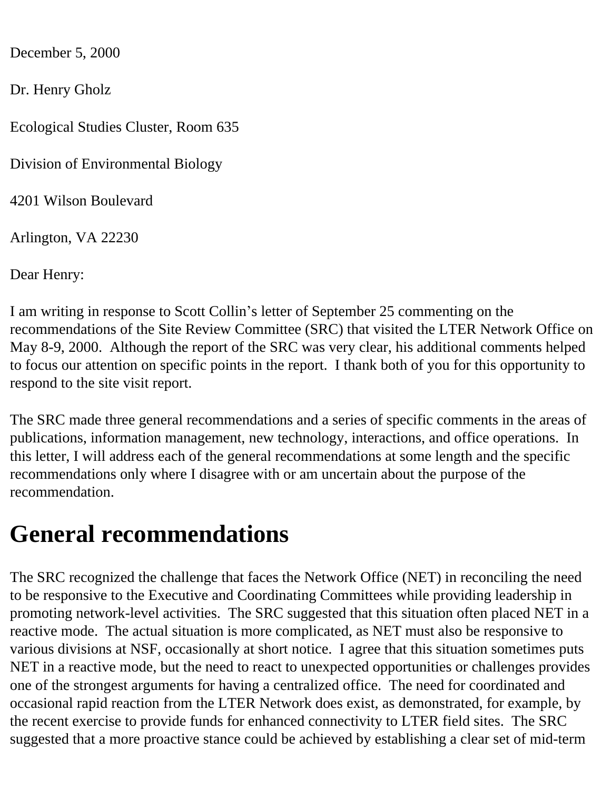December 5, 2000

Dr. Henry Gholz

Ecological Studies Cluster, Room 635

Division of Environmental Biology

4201 Wilson Boulevard

Arlington, VA 22230

Dear Henry:

I am writing in response to Scott Collin's letter of September 25 commenting on the recommendations of the Site Review Committee (SRC) that visited the LTER Network Office on May 8-9, 2000. Although the report of the SRC was very clear, his additional comments helped to focus our attention on specific points in the report. I thank both of you for this opportunity to respond to the site visit report.

The SRC made three general recommendations and a series of specific comments in the areas of publications, information management, new technology, interactions, and office operations. In this letter, I will address each of the general recommendations at some length and the specific recommendations only where I disagree with or am uncertain about the purpose of the recommendation.

## **General recommendations**

The SRC recognized the challenge that faces the Network Office (NET) in reconciling the need to be responsive to the Executive and Coordinating Committees while providing leadership in promoting network-level activities. The SRC suggested that this situation often placed NET in a reactive mode. The actual situation is more complicated, as NET must also be responsive to various divisions at NSF, occasionally at short notice. I agree that this situation sometimes puts NET in a reactive mode, but the need to react to unexpected opportunities or challenges provides one of the strongest arguments for having a centralized office. The need for coordinated and occasional rapid reaction from the LTER Network does exist, as demonstrated, for example, by the recent exercise to provide funds for enhanced connectivity to LTER field sites. The SRC suggested that a more proactive stance could be achieved by establishing a clear set of mid-term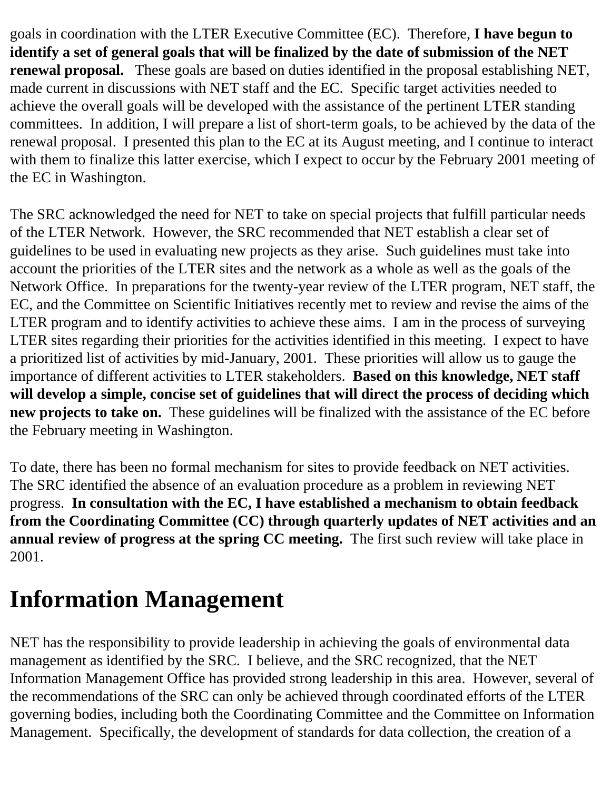goals in coordination with the LTER Executive Committee (EC). Therefore, **I have begun to identify a set of general goals that will be finalized by the date of submission of the NET renewal proposal.** These goals are based on duties identified in the proposal establishing NET, made current in discussions with NET staff and the EC. Specific target activities needed to achieve the overall goals will be developed with the assistance of the pertinent LTER standing committees. In addition, I will prepare a list of short-term goals, to be achieved by the data of the renewal proposal. I presented this plan to the EC at its August meeting, and I continue to interact with them to finalize this latter exercise, which I expect to occur by the February 2001 meeting of the EC in Washington.

The SRC acknowledged the need for NET to take on special projects that fulfill particular needs of the LTER Network. However, the SRC recommended that NET establish a clear set of guidelines to be used in evaluating new projects as they arise. Such guidelines must take into account the priorities of the LTER sites and the network as a whole as well as the goals of the Network Office. In preparations for the twenty-year review of the LTER program, NET staff, the EC, and the Committee on Scientific Initiatives recently met to review and revise the aims of the LTER program and to identify activities to achieve these aims. I am in the process of surveying LTER sites regarding their priorities for the activities identified in this meeting. I expect to have a prioritized list of activities by mid-January, 2001. These priorities will allow us to gauge the importance of different activities to LTER stakeholders. **Based on this knowledge, NET staff will develop a simple, concise set of guidelines that will direct the process of deciding which new projects to take on.** These guidelines will be finalized with the assistance of the EC before the February meeting in Washington.

To date, there has been no formal mechanism for sites to provide feedback on NET activities. The SRC identified the absence of an evaluation procedure as a problem in reviewing NET progress. **In consultation with the EC, I have established a mechanism to obtain feedback from the Coordinating Committee (CC) through quarterly updates of NET activities and an annual review of progress at the spring CC meeting.** The first such review will take place in 2001.

## **Information Management**

NET has the responsibility to provide leadership in achieving the goals of environmental data management as identified by the SRC. I believe, and the SRC recognized, that the NET Information Management Office has provided strong leadership in this area. However, several of the recommendations of the SRC can only be achieved through coordinated efforts of the LTER governing bodies, including both the Coordinating Committee and the Committee on Information Management. Specifically, the development of standards for data collection, the creation of a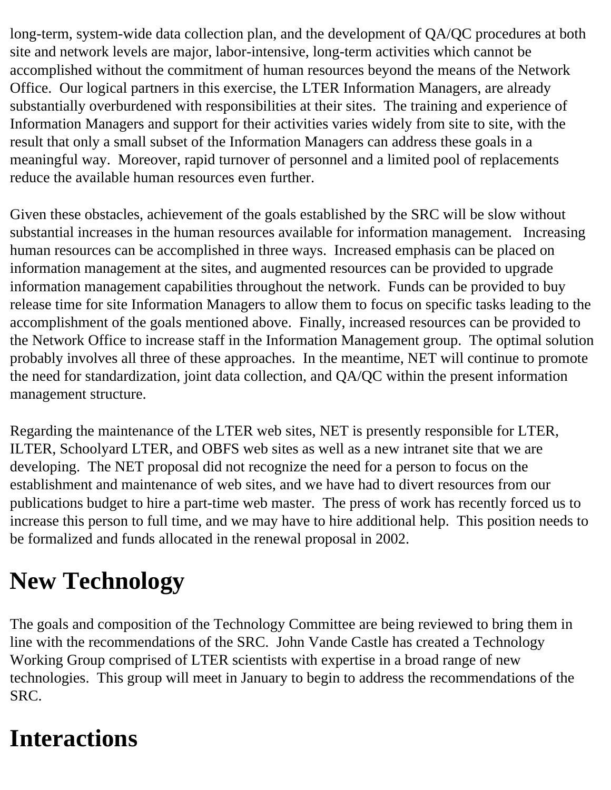long-term, system-wide data collection plan, and the development of QA/QC procedures at both site and network levels are major, labor-intensive, long-term activities which cannot be accomplished without the commitment of human resources beyond the means of the Network Office. Our logical partners in this exercise, the LTER Information Managers, are already substantially overburdened with responsibilities at their sites. The training and experience of Information Managers and support for their activities varies widely from site to site, with the result that only a small subset of the Information Managers can address these goals in a meaningful way. Moreover, rapid turnover of personnel and a limited pool of replacements reduce the available human resources even further.

Given these obstacles, achievement of the goals established by the SRC will be slow without substantial increases in the human resources available for information management. Increasing human resources can be accomplished in three ways. Increased emphasis can be placed on information management at the sites, and augmented resources can be provided to upgrade information management capabilities throughout the network. Funds can be provided to buy release time for site Information Managers to allow them to focus on specific tasks leading to the accomplishment of the goals mentioned above. Finally, increased resources can be provided to the Network Office to increase staff in the Information Management group. The optimal solution probably involves all three of these approaches. In the meantime, NET will continue to promote the need for standardization, joint data collection, and QA/QC within the present information management structure.

Regarding the maintenance of the LTER web sites, NET is presently responsible for LTER, ILTER, Schoolyard LTER, and OBFS web sites as well as a new intranet site that we are developing. The NET proposal did not recognize the need for a person to focus on the establishment and maintenance of web sites, and we have had to divert resources from our publications budget to hire a part-time web master. The press of work has recently forced us to increase this person to full time, and we may have to hire additional help. This position needs to be formalized and funds allocated in the renewal proposal in 2002.

## **New Technology**

The goals and composition of the Technology Committee are being reviewed to bring them in line with the recommendations of the SRC. John Vande Castle has created a Technology Working Group comprised of LTER scientists with expertise in a broad range of new technologies. This group will meet in January to begin to address the recommendations of the SRC.

## **Interactions**